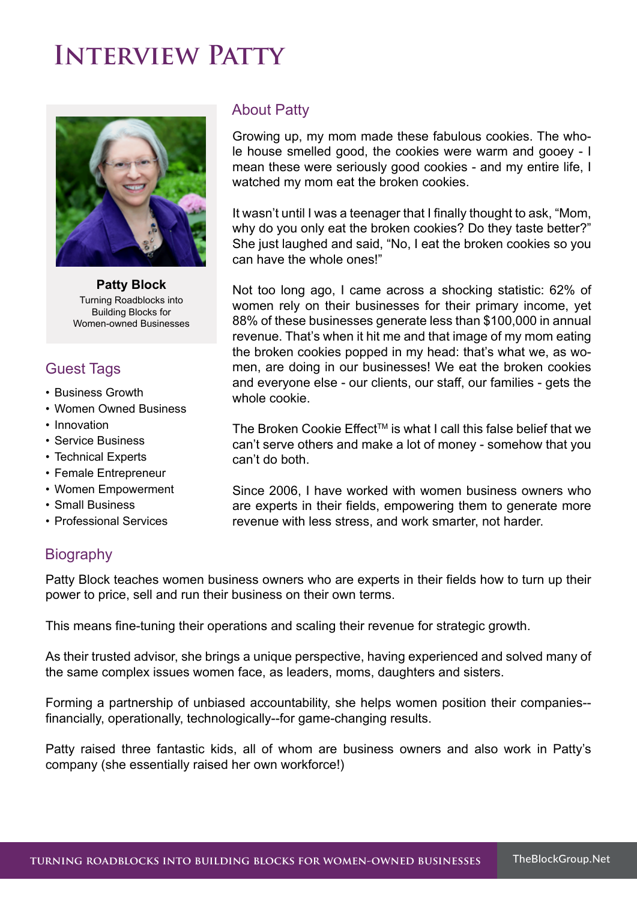# **Interview Patty**



**Patty Block** Turning Roadblocks into Building Blocks for Women-owned Businesses

## **Guest Tags**

- Business Growth
- Women Owned Business
- Innovation
- Service Business
- Technical Experts
- Female Entrepreneur
- Women Empowerment
- Small Business
- Professional Services

### About Patty

Growing up, my mom made these fabulous cookies. The whole house smelled good, the cookies were warm and gooey - I mean these were seriously good cookies - and my entire life, I watched my mom eat the broken cookies.

It wasn't until I was a teenager that I finally thought to ask, "Mom, why do you only eat the broken cookies? Do they taste better?" She just laughed and said, "No, I eat the broken cookies so you can have the whole ones!"

Not too long ago, I came across a shocking statistic: 62% of women rely on their businesses for their primary income, yet 88% of these businesses generate less than \$100,000 in annual revenue. That's when it hit me and that image of my mom eating the broken cookies popped in my head: that's what we, as women, are doing in our businesses! We eat the broken cookies and everyone else - our clients, our staff, our families - gets the whole cookie.

The Broken Cookie Effect<sup>™</sup> is what I call this false belief that we can't serve others and make a lot of money - somehow that you can't do both.

Since 2006, I have worked with women business owners who are experts in their fields, empowering them to generate more revenue with less stress, and work smarter, not harder.

## **Biography**

Patty Block teaches women business owners who are experts in their fields how to turn up their power to price, sell and run their business on their own terms.

This means fine-tuning their operations and scaling their revenue for strategic growth.

As their trusted advisor, she brings a unique perspective, having experienced and solved many of the same complex issues women face, as leaders, moms, daughters and sisters.

Forming a partnership of unbiased accountability, she helps women position their companies- financially, operationally, technologically--for game-changing results.

Patty raised three fantastic kids, all of whom are business owners and also work in Patty's company (she essentially raised her own workforce!)